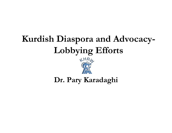# Kurdish Diaspora and Advocacy-Lobbying Efforts



#### Dr. Pary Karadaghi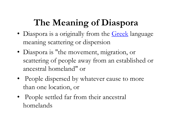## The Meaning of Diaspora

- Diaspora is a originally from the Creek language meaning scattering or dispersion
- Diaspora is "the movement, migration, or scattering of people away from an established or ancestral homeland" or
- People dispersed by whatever cause to more than one location, or
- People settled far from their ancestral homelands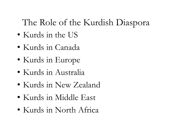### The Role of the Kurdish Diaspora

- Kurds in the US
- Kurds in Canada
- Kurds in Europe
- Kurds in Australia
- Kurds in New Zealand
- Kurds in Middle East
- Kurds in North Africa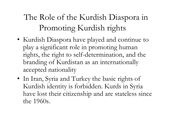### The Role of the Kurdish Diaspora in Promoting Kurdish rights

- Kurdish Diaspora have played and continue to play a significant role in promoting human rights, the right to self-determination, and the branding of Kurdistan as an internationally accepted nationality
- In Iran, Syria and Turkey the basic rights of Kurdish identity is forbidden. Kurds in Syria have lost their citizenship and are stateless sincethe 1960s.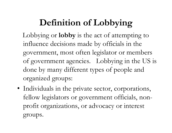### Definition of Lobbying

Lobbying or lobby is the act of attempting to influence decisions made by officials in the government, most often legislator or members of government agencies. Lobbying in the US is done by many different types of people and organized groups:

• Individuals in the private sector, corporations, fellow legislators or government officials, nonprofit organizations, or advocacy or interest groups.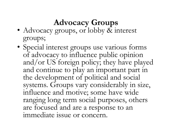### Advocacy Groups

- Advocacy groups, or lobby & interest groups;
- Special interest groups use various forms of advocacy to influence public opinion and/or US foreign policy; they have played and continue to play an important part in the development of political and social systems. Groups vary considerably in size, influence and motive; some have wide ranging long term social purposes, others are focused and are a response to an immediate issue or concern.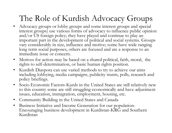### The Role of Kurdish Advocacy Groups

- Advocacy groups or lobby groups and some interest groups and special interest groups) use various forms of advocacy to influence public opinion and/or US foreign policy; they have played and continue to play an important part in the development of political and social systems. Groups vary considerably in size, influence and motive; some have wide ranging long term social purposes, others are focused and are a response to an immediate issue or concern.
- $\bullet$  Motives for action may be based on a shared political, faith, moral, the rights to self-determination, or basic human rights position.
- • Kurdish Diaspora can use varied methods to try to achieve our aims including lobbying, media campaigns, publicity stunts, polls, research and policy briefings.
- $\bullet$  Socio Economic Factors-Kurds in the United States are still relatively new to this country some are still struggling economically and have adjustment issues, education, immigration, employment, housing, etc.
- $\bullet$ Community Building in the United States and Canada
- $\bullet$  Business Initiative and Income Generation for our population-Encouraging business development in Kurdistan-KRG and Southern Kurdistan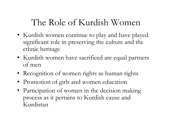### The Role of Kurdish Women

- Kurdish women continue to play and have played significant role in preserving the culture and the ethnic heritage
- Kurdish women have sacrificed are equal partners of men
- Recognition of women rights as human rights
- Promotion of girls and women education
- Participation of women in the decision making process as it pertains to Kurdish cause and Kurdistan